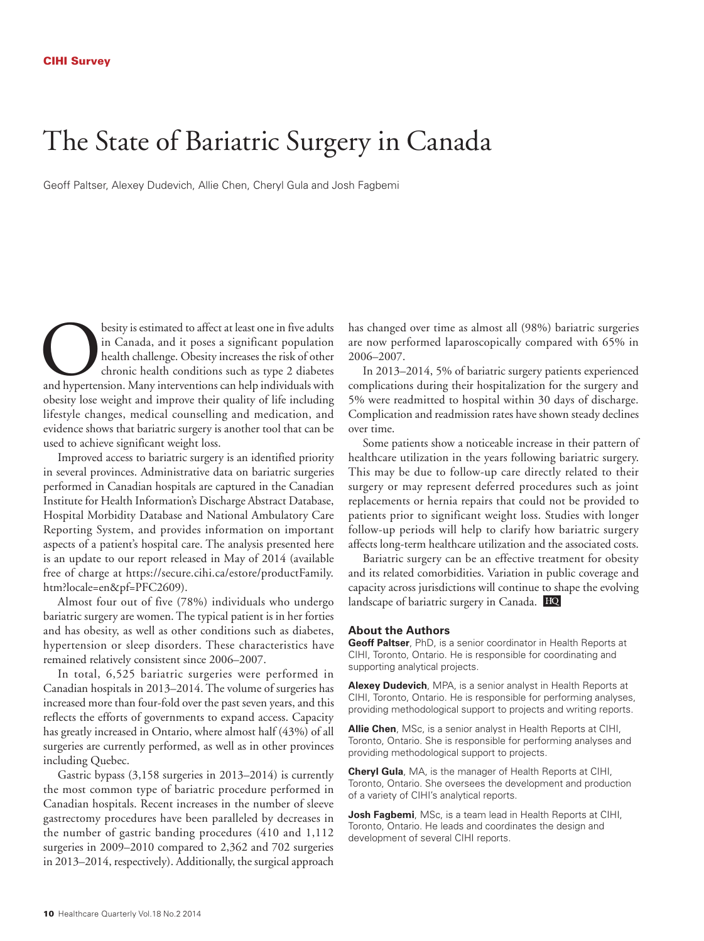## The State of Bariatric Surgery in Canada

Geoff Paltser, Alexey Dudevich, Allie Chen, Cheryl Gula and Josh Fagbemi

besity is estimated to affect at least one in five adults<br>
in Canada, and it poses a significant population<br>
health challenge. Obesity increases the risk of other<br>
chronic health conditions such as type 2 diabetes<br>
and hyp in Canada, and it poses a significant population health challenge. Obesity increases the risk of other chronic health conditions such as type 2 diabetes obesity lose weight and improve their quality of life including lifestyle changes, medical counselling and medication, and evidence shows that bariatric surgery is another tool that can be used to achieve significant weight loss.

Improved access to bariatric surgery is an identified priority in several provinces. Administrative data on bariatric surgeries performed in Canadian hospitals are captured in the Canadian Institute for Health Information's Discharge Abstract Database, Hospital Morbidity Database and National Ambulatory Care Reporting System, and provides information on important aspects of a patient's hospital care. The analysis presented here is an update to our report released in May of 2014 (available free of charge at https://secure.cihi.ca/estore/productFamily. htm?locale=en&pf=PFC2609).

Almost four out of five (78%) individuals who undergo bariatric surgery are women. The typical patient is in her forties and has obesity, as well as other conditions such as diabetes, hypertension or sleep disorders. These characteristics have remained relatively consistent since 2006–2007.

In total, 6,525 bariatric surgeries were performed in Canadian hospitals in 2013–2014. The volume of surgeries has increased more than four-fold over the past seven years, and this reflects the efforts of governments to expand access. Capacity has greatly increased in Ontario, where almost half (43%) of all surgeries are currently performed, as well as in other provinces including Quebec.

Gastric bypass (3,158 surgeries in 2013–2014) is currently the most common type of bariatric procedure performed in Canadian hospitals. Recent increases in the number of sleeve gastrectomy procedures have been paralleled by decreases in the number of gastric banding procedures (410 and 1,112 surgeries in 2009–2010 compared to 2,362 and 702 surgeries in 2013–2014, respectively). Additionally, the surgical approach

has changed over time as almost all (98%) bariatric surgeries are now performed laparoscopically compared with 65% in 2006–2007.

In 2013–2014, 5% of bariatric surgery patients experienced complications during their hospitalization for the surgery and 5% were readmitted to hospital within 30 days of discharge. Complication and readmission rates have shown steady declines over time.

Some patients show a noticeable increase in their pattern of healthcare utilization in the years following bariatric surgery. This may be due to follow-up care directly related to their surgery or may represent deferred procedures such as joint replacements or hernia repairs that could not be provided to patients prior to significant weight loss. Studies with longer follow-up periods will help to clarify how bariatric surgery affects long-term healthcare utilization and the associated costs.

Bariatric surgery can be an effective treatment for obesity and its related comorbidities. Variation in public coverage and capacity across jurisdictions will continue to shape the evolving landscape of bariatric surgery in Canada.

### **About the Authors**

**Geoff Paltser**, PhD, is a senior coordinator in Health Reports at CIHI, Toronto, Ontario. He is responsible for coordinating and supporting analytical projects.

**Alexey Dudevich**, MPA, is a senior analyst in Health Reports at CIHI, Toronto, Ontario. He is responsible for performing analyses, providing methodological support to projects and writing reports.

**Allie Chen**, MSc, is a senior analyst in Health Reports at CIHI, Toronto, Ontario. She is responsible for performing analyses and providing methodological support to projects.

**Cheryl Gula**, MA, is the manager of Health Reports at CIHI, Toronto, Ontario. She oversees the development and production of a variety of CIHI's analytical reports.

**Josh Fagbemi**, MSc, is a team lead in Health Reports at CIHI, Toronto, Ontario. He leads and coordinates the design and development of several CIHI reports.